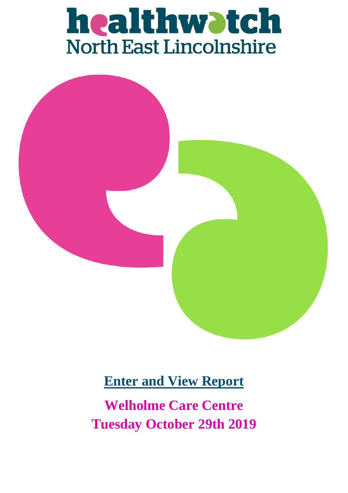# healthwatch<br>North East Lincolnshire



## **Enter and View Report**

**Welholme Care Centre Tuesday October 29th 2019**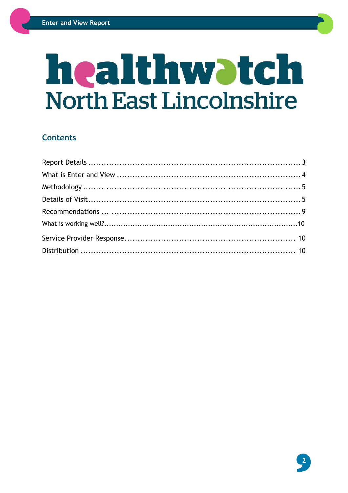## healthwatch **North East Lincolnshire**

#### **Contents**

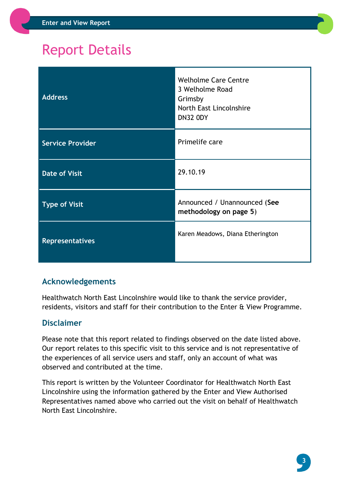## <span id="page-2-0"></span>Report Details

| <b>Address</b>          | <b>Welholme Care Centre</b><br>3 Welholme Road<br>Grimsby<br>North East Lincolnshire<br><b>DN32 ODY</b> |
|-------------------------|---------------------------------------------------------------------------------------------------------|
| <b>Service Provider</b> | Primelife care                                                                                          |
| <b>Date of Visit</b>    | 29.10.19                                                                                                |
| <b>Type of Visit</b>    | Announced / Unannounced (See<br>methodology on page 5)                                                  |
| <b>Representatives</b>  | Karen Meadows, Diana Etherington                                                                        |

#### **Acknowledgements**

Healthwatch North East Lincolnshire would like to thank the service provider, residents, visitors and staff for their contribution to the Enter & View Programme.

#### **Disclaimer**

Please note that this report related to findings observed on the date listed above. Our report relates to this specific visit to this service and is not representative of the experiences of all service users and staff, only an account of what was observed and contributed at the time.

<span id="page-2-1"></span>This report is written by the Volunteer Coordinator for Healthwatch North East Lincolnshire using the information gathered by the Enter and View Authorised Representatives named above who carried out the visit on behalf of Healthwatch North East Lincolnshire.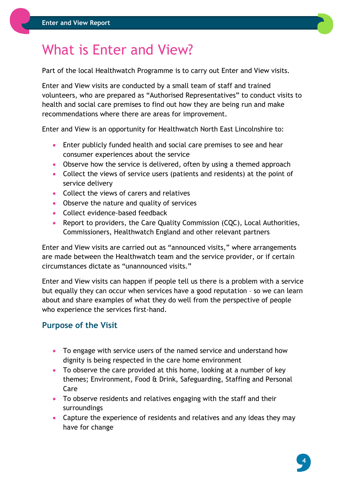## What is Enter and View?

Part of the local Healthwatch Programme is to carry out Enter and View visits.

Enter and View visits are conducted by a small team of staff and trained volunteers, who are prepared as "Authorised Representatives" to conduct visits to health and social care premises to find out how they are being run and make recommendations where there are areas for improvement.

Enter and View is an opportunity for Healthwatch North East Lincolnshire to:

- Enter publicly funded health and social care premises to see and hear consumer experiences about the service
- Observe how the service is delivered, often by using a themed approach
- Collect the views of service users (patients and residents) at the point of service delivery
- Collect the views of carers and relatives
- Observe the nature and quality of services
- Collect evidence-based feedback
- Report to providers, the Care Quality Commission (CQC), Local Authorities, Commissioners, Healthwatch England and other relevant partners

Enter and View visits are carried out as "announced visits," where arrangements are made between the Healthwatch team and the service provider, or if certain circumstances dictate as "unannounced visits."

Enter and View visits can happen if people tell us there is a problem with a service but equally they can occur when services have a good reputation – so we can learn about and share examples of what they do well from the perspective of people who experience the services first-hand.

#### **Purpose of the Visit**

- To engage with service users of the named service and understand how dignity is being respected in the care home environment
- To observe the care provided at this home, looking at a number of key themes; Environment, Food & Drink, Safeguarding, Staffing and Personal Care
- To observe residents and relatives engaging with the staff and their surroundings
- <span id="page-3-0"></span> Capture the experience of residents and relatives and any ideas they may have for change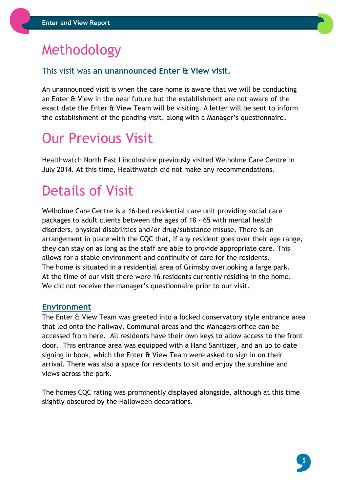## Methodology

#### This visit was **an unannounced Enter & View visit.**

An unannounced visit is when the care home is aware that we will be conducting an Enter & View in the near future but the establishment are not aware of the exact date the Enter & View Team will be visiting. A letter will be sent to inform the establishment of the pending visit, along with a Manager's questionnaire.

## <span id="page-4-0"></span>Our Previous Visit

Healthwatch North East Lincolnshire previously visited Welholme Care Centre in July 2014. At this time, Healthwatch did not make any recommendations.

## Details of Visit

Welholme Care Centre is a 16-bed residential care unit providing social care packages to adult clients between the ages of 18 - 65 with mental health disorders, physical disabilities and/or drug/substance misuse. There is an arrangement in place with the CQC that, if any resident goes over their age range, they can stay on as long as the staff are able to provide appropriate care. This allows for a stable environment and continuity of care for the residents. The home is situated in a residential area of Grimsby overlooking a large park. At the time of our visit there were 16 residents currently residing in the home. We did not receive the manager's questionnaire prior to our visit.

#### **Environment**

The Enter & View Team was greeted into a locked conservatory style entrance area that led onto the hallway. Communal areas and the Managers office can be accessed from here. All residents have their own keys to allow access to the front door. This entrance area was equipped with a Hand Sanitizer, and an up to date signing in book, which the Enter & View Team were asked to sign in on their arrival. There was also a space for residents to sit and enjoy the sunshine and views across the park.

The homes CQC rating was prominently displayed alongside, although at this time slightly obscured by the Halloween decorations.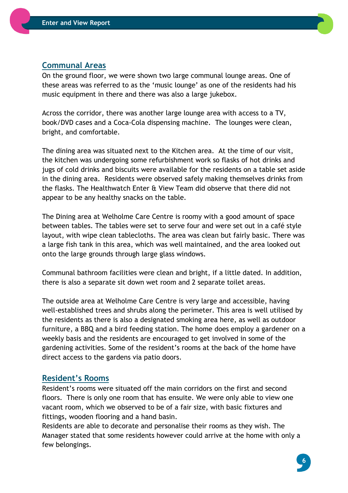#### **Communal Areas**

On the ground floor, we were shown two large communal lounge areas. One of these areas was referred to as the 'music lounge' as one of the residents had his music equipment in there and there was also a large jukebox.

Across the corridor, there was another large lounge area with access to a TV, book/DVD cases and a Coca-Cola dispensing machine. The lounges were clean, bright, and comfortable.

The dining area was situated next to the Kitchen area. At the time of our visit, the kitchen was undergoing some refurbishment work so flasks of hot drinks and jugs of cold drinks and biscuits were available for the residents on a table set aside in the dining area. Residents were observed safely making themselves drinks from the flasks. The Healthwatch Enter & View Team did observe that there did not appear to be any healthy snacks on the table.

The Dining area at Welholme Care Centre is roomy with a good amount of space between tables. The tables were set to serve four and were set out in a café style layout, with wipe clean tablecloths. The area was clean but fairly basic. There was a large fish tank in this area, which was well maintained, and the area looked out onto the large grounds through large glass windows.

Communal bathroom facilities were clean and bright, if a little dated. In addition, there is also a separate sit down wet room and 2 separate toilet areas.

The outside area at Welholme Care Centre is very large and accessible, having well-established trees and shrubs along the perimeter. This area is well utilised by the residents as there is also a designated smoking area here, as well as outdoor furniture, a BBQ and a bird feeding station. The home does employ a gardener on a weekly basis and the residents are encouraged to get involved in some of the gardening activities. Some of the resident's rooms at the back of the home have direct access to the gardens via patio doors.

#### **Resident's Rooms**

Resident's rooms were situated off the main corridors on the first and second floors. There is only one room that has ensuite. We were only able to view one vacant room, which we observed to be of a fair size, with basic fixtures and fittings, wooden flooring and a hand basin.

Residents are able to decorate and personalise their rooms as they wish. The Manager stated that some residents however could arrive at the home with only a few belongings.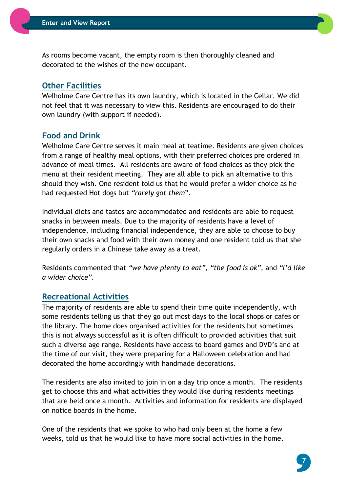As rooms become vacant, the empty room is then thoroughly cleaned and decorated to the wishes of the new occupant.

#### **Other Facilities**

Welholme Care Centre has its own laundry, which is located in the Cellar. We did not feel that it was necessary to view this. Residents are encouraged to do their own laundry (with support if needed).

#### **Food and Drink**

Welholme Care Centre serves it main meal at teatime. Residents are given choices from a range of healthy meal options, with their preferred choices pre ordered in advance of meal times. All residents are aware of food choices as they pick the menu at their resident meeting. They are all able to pick an alternative to this should they wish. One resident told us that he would prefer a wider choice as he had requested Hot dogs but *"rarely got them*".

Individual diets and tastes are accommodated and residents are able to request snacks in between meals. Due to the majority of residents have a level of independence, including financial independence, they are able to choose to buy their own snacks and food with their own money and one resident told us that she regularly orders in a Chinese take away as a treat.

Residents commented that *"we have plenty to eat"*, *"the food is ok",* and *"I'd like a wider choice".*

#### **Recreational Activities**

The majority of residents are able to spend their time quite independently, with some residents telling us that they go out most days to the local shops or cafes or the library. The home does organised activities for the residents but sometimes this is not always successful as it is often difficult to provided activities that suit such a diverse age range. Residents have access to board games and DVD's and at the time of our visit, they were preparing for a Halloween celebration and had decorated the home accordingly with handmade decorations.

The residents are also invited to join in on a day trip once a month. The residents get to choose this and what activities they would like during residents meetings that are held once a month. Activities and information for residents are displayed on notice boards in the home.

One of the residents that we spoke to who had only been at the home a few weeks, told us that he would like to have more social activities in the home.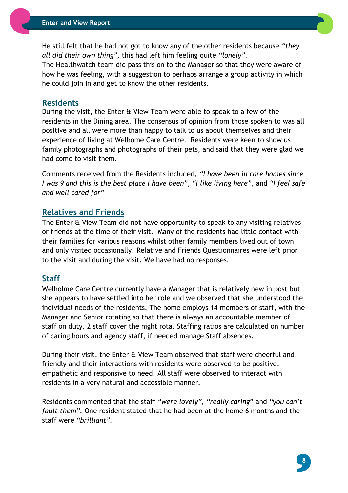He still felt that he had not got to know any of the other residents because *"they all did their own thing",* this had left him feeling quite *"lonely".*

The Healthwatch team did pass this on to the Manager so that they were aware of how he was feeling, with a suggestion to perhaps arrange a group activity in which he could join in and get to know the other residents.

#### **Residents**

During the visit, the Enter & View Team were able to speak to a few of the residents in the Dining area. The consensus of opinion from those spoken to was all positive and all were more than happy to talk to us about themselves and their experience of living at Welhome Care Centre. Residents were keen to show us family photographs and photographs of their pets, and said that they were glad we had come to visit them.

Comments received from the Residents included, *"I have been in care homes since I was 9 and this is the best place I have been"*, *"I like living here",* and *"I feel safe and well cared for"*

#### <span id="page-7-0"></span>**Relatives and Friends**

The Enter & View Team did not have opportunity to speak to any visiting relatives or friends at the time of their visit. Many of the residents had little contact with their families for various reasons whilst other family members lived out of town and only visited occasionally. Relative and Friends Questionnaires were left prior to the visit and during the visit. We have had no responses.

#### **Staff**

Welholme Care Centre currently have a Manager that is relatively new in post but she appears to have settled into her role and we observed that she understood the individual needs of the residents. The home employs 14 members of staff, with the Manager and Senior rotating so that there is always an accountable member of staff on duty. 2 staff cover the night rota. Staffing ratios are calculated on number of caring hours and agency staff, if needed manage Staff absences.

During their visit, the Enter & View Team observed that staff were cheerful and friendly and their interactions with residents were observed to be positive, empathetic and responsive to need. All staff were observed to interact with residents in a very natural and accessible manner.

Residents commented that the staff *"were lovely", "really caring*" and *"you can't fault them".* One resident stated that he had been at the home 6 months and the staff were *"brilliant".*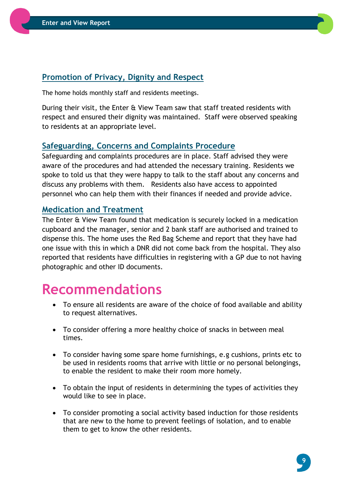

The home holds monthly staff and residents meetings.

During their visit, the Enter & View Team saw that staff treated residents with respect and ensured their dignity was maintained. Staff were observed speaking to residents at an appropriate level.

#### **Safeguarding, Concerns and Complaints Procedure**

Safeguarding and complaints procedures are in place. Staff advised they were aware of the procedures and had attended the necessary training. Residents we spoke to told us that they were happy to talk to the staff about any concerns and discuss any problems with them. Residents also have access to appointed personnel who can help them with their finances if needed and provide advice.

#### **Medication and Treatment**

The Enter & View Team found that medication is securely locked in a medication cupboard and the manager, senior and 2 bank staff are authorised and trained to dispense this. The home uses the Red Bag Scheme and report that they have had one issue with this in which a DNR did not come back from the hospital. They also reported that residents have difficulties in registering with a GP due to not having photographic and other ID documents.

### **Recommendations**

- To ensure all residents are aware of the choice of food available and ability to request alternatives.
- To consider offering a more healthy choice of snacks in between meal times.
- To consider having some spare home furnishings, e.g cushions, prints etc to be used in residents rooms that arrive with little or no personal belongings, to enable the resident to make their room more homely.
- To obtain the input of residents in determining the types of activities they would like to see in place.
- To consider promoting a social activity based induction for those residents that are new to the home to prevent feelings of isolation, and to enable them to get to know the other residents.